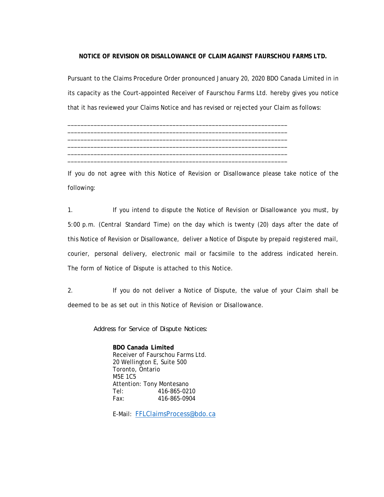## **NOTICE OF REVISION OR DISALLOWANCE OF CLAIM AGAINST FAURSCHOU FARMS LTD.**

Pursuant to the Claims Procedure Order pronounced January 20, 2020 BDO Canada Limited in in its capacity as the Court-appointed Receiver of Faurschou Farms Ltd. hereby gives you notice that it has reviewed your Claims Notice and has revised or rejected your Claim as follows:

\_\_\_\_\_\_\_\_\_\_\_\_\_\_\_\_\_\_\_\_\_\_\_\_\_\_\_\_\_\_\_\_\_\_\_\_\_\_\_\_\_\_\_\_\_\_\_\_\_\_\_\_\_\_\_\_\_\_\_\_\_\_\_\_\_\_\_ If you do not agree with this Notice of Revision or Disallowance please take notice of the following:

\_\_\_\_\_\_\_\_\_\_\_\_\_\_\_\_\_\_\_\_\_\_\_\_\_\_\_\_\_\_\_\_\_\_\_\_\_\_\_\_\_\_\_\_\_\_\_\_\_\_\_\_\_\_\_\_\_\_\_\_\_\_\_\_\_\_\_ \_\_\_\_\_\_\_\_\_\_\_\_\_\_\_\_\_\_\_\_\_\_\_\_\_\_\_\_\_\_\_\_\_\_\_\_\_\_\_\_\_\_\_\_\_\_\_\_\_\_\_\_\_\_\_\_\_\_\_\_\_\_\_\_\_\_\_ \_\_\_\_\_\_\_\_\_\_\_\_\_\_\_\_\_\_\_\_\_\_\_\_\_\_\_\_\_\_\_\_\_\_\_\_\_\_\_\_\_\_\_\_\_\_\_\_\_\_\_\_\_\_\_\_\_\_\_\_\_\_\_\_\_\_\_ \_\_\_\_\_\_\_\_\_\_\_\_\_\_\_\_\_\_\_\_\_\_\_\_\_\_\_\_\_\_\_\_\_\_\_\_\_\_\_\_\_\_\_\_\_\_\_\_\_\_\_\_\_\_\_\_\_\_\_\_\_\_\_\_\_\_\_ \_\_\_\_\_\_\_\_\_\_\_\_\_\_\_\_\_\_\_\_\_\_\_\_\_\_\_\_\_\_\_\_\_\_\_\_\_\_\_\_\_\_\_\_\_\_\_\_\_\_\_\_\_\_\_\_\_\_\_\_\_\_\_\_\_\_\_

1. If you intend to dispute the Notice of Revision or Disallowance you must, by 5:00 p.m. (Central Standard Time) on the day which is twenty (20) days after the date of this Notice of Revision or Disallowance, deliver a Notice of Dispute by prepaid registered mail, courier, personal delivery, electronic mail or facsimile to the address indicated herein. The form of Notice of Dispute is attached to this Notice.

2. If you do not deliver a Notice of Dispute, the value of your Claim shall be deemed to be as set out in this Notice of Revision or Disallowance.

*Address for Service of Dispute Notices:*

 **BDO Canada Limited** Receiver of Faurschou Farms Ltd. 20 Wellington E, Suite 500 Toronto, Ontario M5E 1C5 Attention: Tony Montesano Tel: 416-865-0210 Fax: 416-865-0904

E-Mail: FFLClaimsProcess@bdo.ca